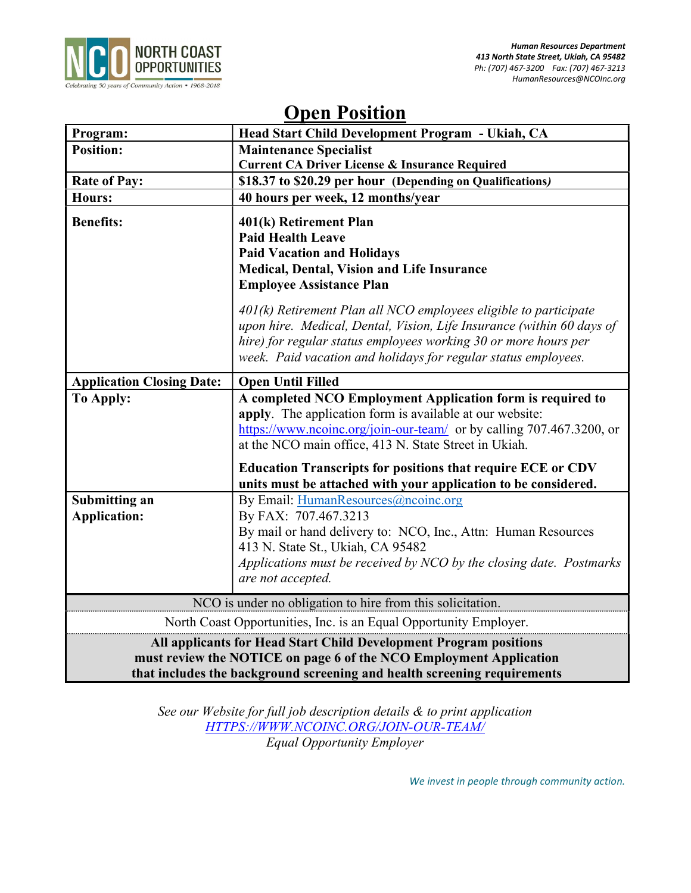

# Open Position

| Program:                                                                                                                                                                                                            | Head Start Child Development Program - Ukiah, CA                                                                                                                                                                                                                                                                              |
|---------------------------------------------------------------------------------------------------------------------------------------------------------------------------------------------------------------------|-------------------------------------------------------------------------------------------------------------------------------------------------------------------------------------------------------------------------------------------------------------------------------------------------------------------------------|
| <b>Position:</b>                                                                                                                                                                                                    | <b>Maintenance Specialist</b>                                                                                                                                                                                                                                                                                                 |
|                                                                                                                                                                                                                     | <b>Current CA Driver License &amp; Insurance Required</b>                                                                                                                                                                                                                                                                     |
| <b>Rate of Pay:</b>                                                                                                                                                                                                 | \$18.37 to \$20.29 per hour (Depending on Qualifications)                                                                                                                                                                                                                                                                     |
| Hours:                                                                                                                                                                                                              | 40 hours per week, 12 months/year                                                                                                                                                                                                                                                                                             |
| <b>Benefits:</b>                                                                                                                                                                                                    | 401(k) Retirement Plan<br><b>Paid Health Leave</b><br><b>Paid Vacation and Holidays</b><br>Medical, Dental, Vision and Life Insurance<br><b>Employee Assistance Plan</b><br>$401(k)$ Retirement Plan all NCO employees eligible to participate<br>upon hire. Medical, Dental, Vision, Life Insurance (within 60 days of       |
|                                                                                                                                                                                                                     | hire) for regular status employees working 30 or more hours per<br>week. Paid vacation and holidays for regular status employees.                                                                                                                                                                                             |
| <b>Application Closing Date:</b>                                                                                                                                                                                    | <b>Open Until Filled</b>                                                                                                                                                                                                                                                                                                      |
| <b>To Apply:</b>                                                                                                                                                                                                    | A completed NCO Employment Application form is required to<br>apply. The application form is available at our website:<br>https://www.ncoinc.org/join-our-team/ or by calling 707.467.3200, or<br>at the NCO main office, 413 N. State Street in Ukiah.<br><b>Education Transcripts for positions that require ECE or CDV</b> |
|                                                                                                                                                                                                                     | units must be attached with your application to be considered.                                                                                                                                                                                                                                                                |
| Submitting an<br><b>Application:</b>                                                                                                                                                                                | By Email: HumanResources@ncoinc.org<br>By FAX: 707.467.3213<br>By mail or hand delivery to: NCO, Inc., Attn: Human Resources<br>413 N. State St., Ukiah, CA 95482<br>Applications must be received by NCO by the closing date. Postmarks<br>are not accepted.                                                                 |
| NCO is under no obligation to hire from this solicitation.                                                                                                                                                          |                                                                                                                                                                                                                                                                                                                               |
| North Coast Opportunities, Inc. is an Equal Opportunity Employer.                                                                                                                                                   |                                                                                                                                                                                                                                                                                                                               |
| All applicants for Head Start Child Development Program positions<br>must review the NOTICE on page 6 of the NCO Employment Application<br>that includes the background screening and health screening requirements |                                                                                                                                                                                                                                                                                                                               |

See our Website for full job description details & to print application HTTPS://WWW.NCOINC.ORG/JOIN-OUR-TEAM/ Equal Opportunity Employer

We invest in people through community action.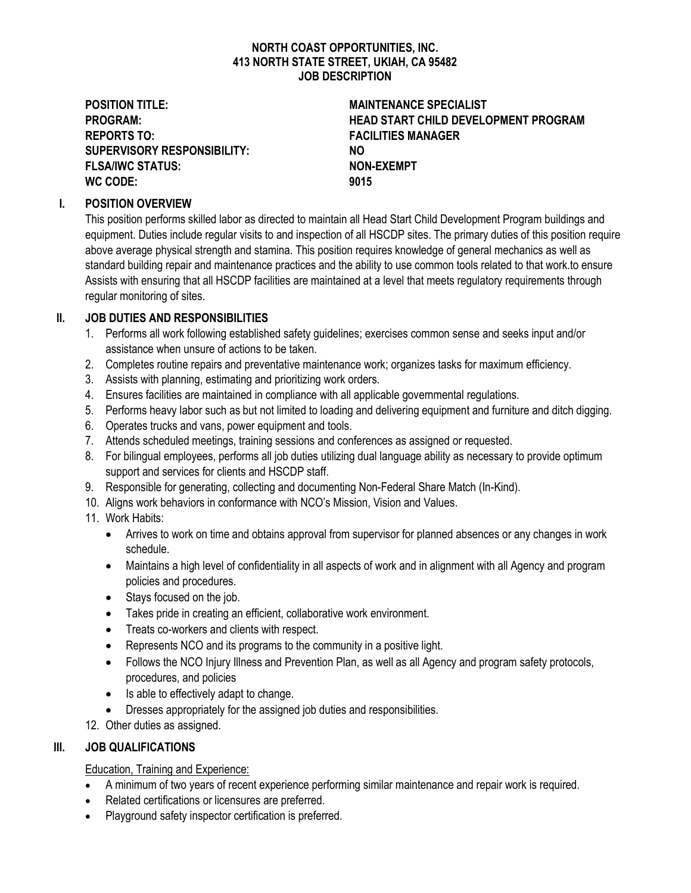#### NORTH COAST OPPORTUNITIES, INC. 413 NORTH STATE STREET, UKIAH, CA 95482 JOB DESCRIPTION

POSITION TITLE: MAINTENANCE SPECIALIST REPORTS TO: The CONTROL CONTROL CONTROL CONTROL CONTROL CONTROL CONTROL CONTROL CONTROL CONTROL CONTROL CONTROL CONTROL CONTROL CONTROL CONTROL CONTROL CONTROL CONTROL CONTROL CONTROL CONTROL CONTROL CONTROL CONTROL CONTRO SUPERVISORY RESPONSIBILITY: NO FLSA/IWC STATUS: NON-EXEMPT WC CODE: 9015

PROGRAM: HEAD START CHILD DEVELOPMENT PROGRAM

## I. POSITION OVERVIEW

This position performs skilled labor as directed to maintain all Head Start Child Development Program buildings and equipment. Duties include regular visits to and inspection of all HSCDP sites. The primary duties of this position require above average physical strength and stamina. This position requires knowledge of general mechanics as well as standard building repair and maintenance practices and the ability to use common tools related to that work.to ensure Assists with ensuring that all HSCDP facilities are maintained at a level that meets regulatory requirements through regular monitoring of sites.

## II. JOB DUTIES AND RESPONSIBILITIES

- 1. Performs all work following established safety guidelines; exercises common sense and seeks input and/or assistance when unsure of actions to be taken.
- 2. Completes routine repairs and preventative maintenance work; organizes tasks for maximum efficiency.
- 3. Assists with planning, estimating and prioritizing work orders.
- 4. Ensures facilities are maintained in compliance with all applicable governmental regulations.
- 5. Performs heavy labor such as but not limited to loading and delivering equipment and furniture and ditch digging.
- 6. Operates trucks and vans, power equipment and tools.
- 7. Attends scheduled meetings, training sessions and conferences as assigned or requested.
- 8. For bilingual employees, performs all job duties utilizing dual language ability as necessary to provide optimum support and services for clients and HSCDP staff.
- 9. Responsible for generating, collecting and documenting Non-Federal Share Match (In-Kind).
- 10. Aligns work behaviors in conformance with NCO's Mission, Vision and Values.
- 11. Work Habits:
	- Arrives to work on time and obtains approval from supervisor for planned absences or any changes in work schedule.
	- Maintains a high level of confidentiality in all aspects of work and in alignment with all Agency and program policies and procedures.
	- Stays focused on the job.
	- Takes pride in creating an efficient, collaborative work environment.
	- Treats co-workers and clients with respect.
	- Represents NCO and its programs to the community in a positive light.
	- Follows the NCO Injury Illness and Prevention Plan, as well as all Agency and program safety protocols, procedures, and policies
	- Is able to effectively adapt to change.
	- Dresses appropriately for the assigned job duties and responsibilities.
- 12. Other duties as assigned.

### III. JOB QUALIFICATIONS

Education, Training and Experience:

- A minimum of two years of recent experience performing similar maintenance and repair work is required.
- Related certifications or licensures are preferred.
- Playground safety inspector certification is preferred.